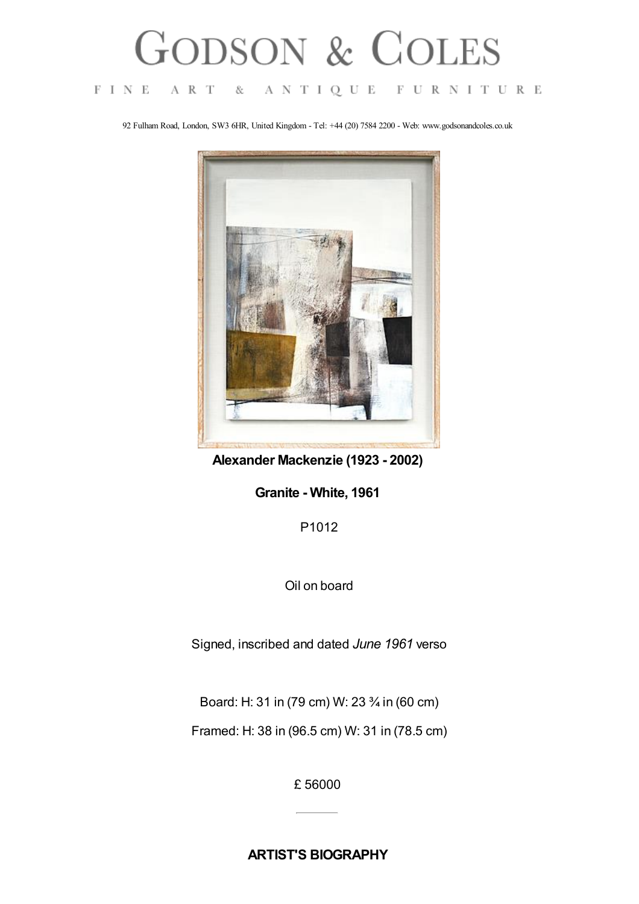## **GODSON & COLES**

## $F I N E$ A R T  $-\&$ ANTIQUE FURNITURE

92 Fulham Road, London, SW3 6HR, United Kingdom - Tel: +44 (20) 7584 2200 - Web: www.godsonandcoles.co.uk



**Alexander Mackenzie (1923 - 2002)**

**Granite - White, 1961**

P1012

Oil on board

Signed, inscribed and dated *June 1961* verso

Board: H: 31 in (79 cm) W: 23 ¾ in (60 cm)

Framed: H: 38 in (96.5 cm) W: 31 in (78.5 cm)

£ 56000

**ARTIST'S BIOGRAPHY**